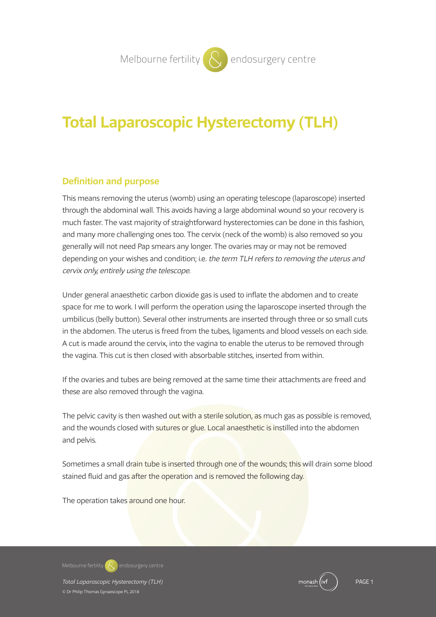# **Total Laparoscopic Hysterectomy (TLH)**

# **Definition and purpose**

This means removing the uterus (womb) using an operating telescope (laparoscope) inserted through the abdominal wall. This avoids having a large abdominal wound so your recovery is much faster. The vast majority of straightforward hysterectomies can be done in this fashion, and many more challenging ones too. The cervix (neck of the womb) is also removed so you generally will not need Pap smears any longer. The ovaries may or may not be removed depending on your wishes and condition; i.e. the term TLH refers to removing the uterus and cervix only, entirely using the telescope.

Under general anaesthetic carbon dioxide gas is used to inflate the abdomen and to create space for me to work. I will perform the operation using the laparoscope inserted through the umbilicus (belly button). Several other instruments are inserted through three or so small cuts in the abdomen. The uterus is freed from the tubes, ligaments and blood vessels on each side. A cut is made around the cervix, into the vagina to enable the uterus to be removed through the vagina. This cut is then closed with absorbable stitches, inserted from within.

If the ovaries and tubes are being removed at the same time their attachments are freed and these are also removed through the vagina.

The pelvic cavity is then washed out with a sterile solution, as much gas as possible is removed, and the wounds closed with sutures or glue. Local anaesthetic is instilled into the abdomen and pelvis.

Sometimes a small drain tube is inserted through one of the wounds; this will drain some blood stained fluid and gas after the operation and is removed the following day.

The operation takes around one hour.

**Melbourne fertility endosurgery centre**

*Total Laparoscopic Hysterectomy (TLH)* PAGE 1 © Dr Philip Thomas Gynaescope PL 2018

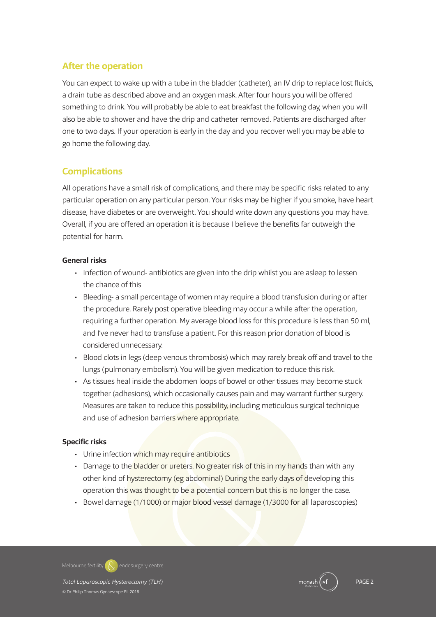# **After the operation**

You can expect to wake up with a tube in the bladder (catheter), an IV drip to replace lost fluids, a drain tube as described above and an oxygen mask. After four hours you will be offered something to drink. You will probably be able to eat breakfast the following day, when you will also be able to shower and have the drip and catheter removed. Patients are discharged after one to two days. If your operation is early in the day and you recover well you may be able to go home the following day.

# **Complications**

All operations have a small risk of complications, and there may be specific risks related to any particular operation on any particular person. Your risks may be higher if you smoke, have heart disease, have diabetes or are overweight. You should write down any questions you may have. Overall, if you are offered an operation it is because I believe the benefits far outweigh the potential for harm.

## **General risks**

- Infection of wound- antibiotics are given into the drip whilst you are asleep to lessen the chance of this
- Bleeding- a small percentage of women may require a blood transfusion during or after the procedure. Rarely post operative bleeding may occur a while after the operation, requiring a further operation. My average blood loss for this procedure is less than 50 ml, and I've never had to transfuse a patient. For this reason prior donation of blood is considered unnecessary.
- Blood clots in legs (deep venous thrombosis) which may rarely break off and travel to the lungs (pulmonary embolism). You will be given medication to reduce this risk.
- As tissues heal inside the abdomen loops of bowel or other tissues may become stuck together (adhesions), which occasionally causes pain and may warrant further surgery. Measures are taken to reduce this possibility, including meticulous surgical technique and use of adhesion barriers where appropriate.

## **Specific risks**

- Urine infection which may require antibiotics
- Damage to the bladder or ureters. No greater risk of this in my hands than with any other kind of hysterectomy (eg abdominal) During the early days of developing this operation this was thought to be a potential concern but this is no longer the case.
- Bowel damage (1/1000) or major blood vessel damage (1/3000 for all laparoscopies)

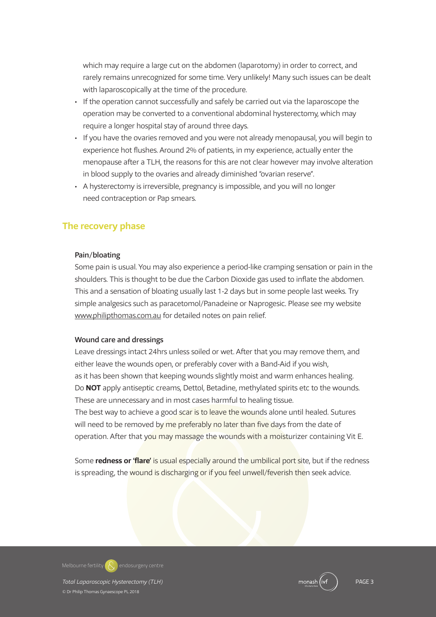which may require a large cut on the abdomen (laparotomy) in order to correct, and rarely remains unrecognized for some time. Very unlikely! Many such issues can be dealt with laparoscopically at the time of the procedure.

- If the operation cannot successfully and safely be carried out via the laparoscope the operation may be converted to a conventional abdominal hysterectomy, which may require a longer hospital stay of around three days.
- If you have the ovaries removed and you were not already menopausal, you will begin to experience hot flushes. Around 2% of patients, in my experience, actually enter the menopause after a TLH, the reasons for this are not clear however may involve alteration in blood supply to the ovaries and already diminished "ovarian reserve".
- A hysterectomy is irreversible, pregnancy is impossible, and you will no longer need contraception or Pap smears.

## **The recovery phase**

#### Pain/bloating

Some pain is usual. You may also experience a period-like cramping sensation or pain in the shoulders. This is thought to be due the Carbon Dioxide gas used to inflate the abdomen. This and a sensation of bloating usually last 1-2 days but in some people last weeks. Try simple analgesics such as paracetomol/Panadeine or Naprogesic. Please see my website www.philipthomas.com.au for detailed notes on pain relief.

#### Wound care and dressings

Leave dressings intact 24hrs unless soiled or wet. After that you may remove them, and either leave the wounds open, or preferably cover with a Band-Aid if you wish, as it has been shown that keeping wounds slightly moist and warm enhances healing. Do **NOT** apply antiseptic creams, Dettol, Betadine, methylated spirits etc to the wounds. These are unnecessary and in most cases harmful to healing tissue. The best way to achieve a good scar is to leave the wounds alone until healed. Sutures will need to be removed by me preferably no later than five days from the date of operation. After that you may massage the wounds with a moisturizer containing Vit E.

Some **redness or 'flare'** is usual especially around the umbilical port site, but if the redness is spreading, the wound is discharging or if you feel unwell/feverish then seek advice.

**Melbourne fertility endosurgery centre**

*Total Laparoscopic Hysterectomy (TLH)* PAGE 3 © Dr Philip Thomas Gynaescope PL 2018